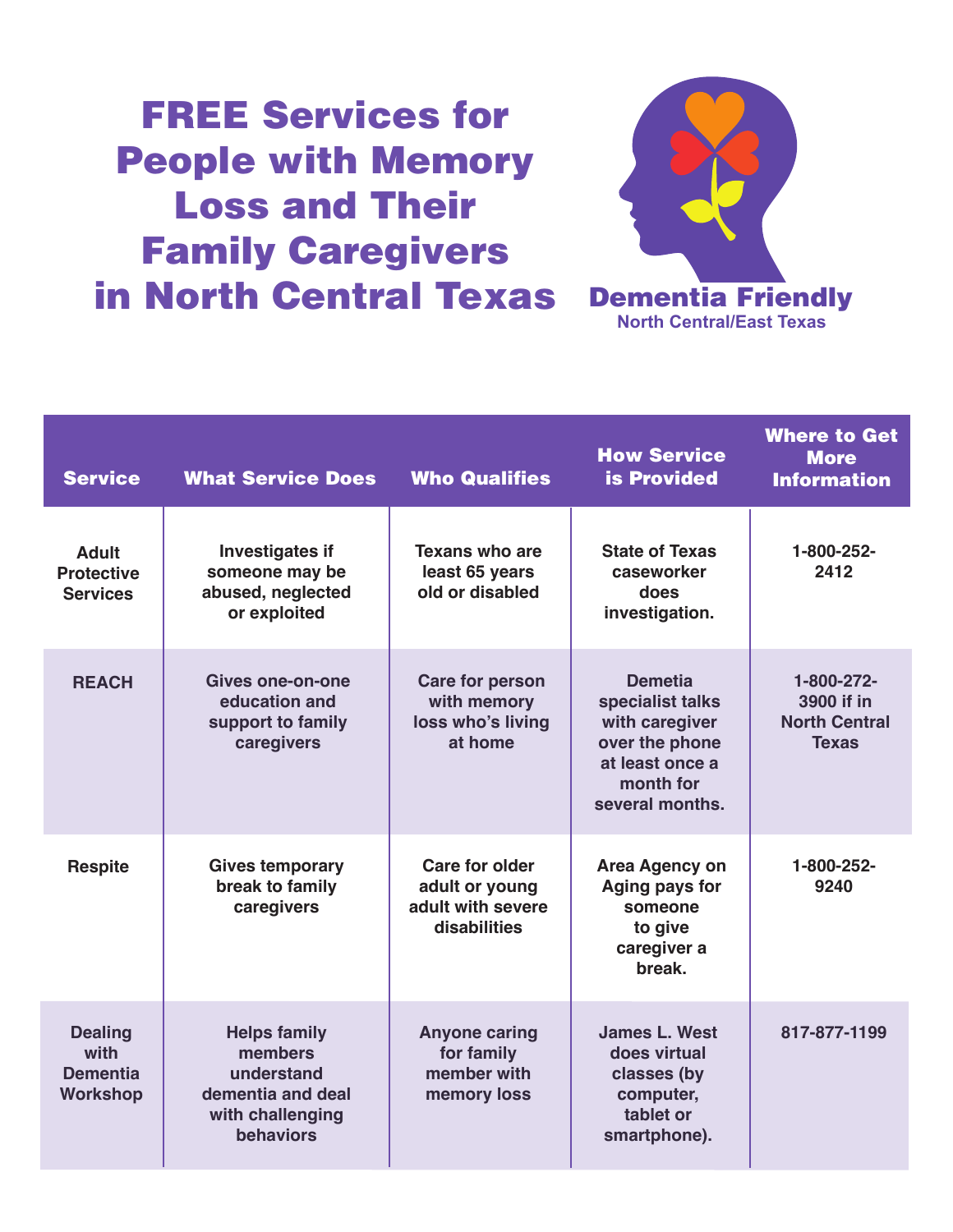## **FREE Services for People with Memory Loss and Their Family Caregivers in North Central Texas**



| <b>Service</b>                                               | <b>What Service Does</b>                                                                           | <b>Who Qualifies</b>                                                         | <b>How Service</b><br><b>is Provided</b>                                                                                  | <b>Where to Get</b><br><b>More</b><br><b>Information</b>         |
|--------------------------------------------------------------|----------------------------------------------------------------------------------------------------|------------------------------------------------------------------------------|---------------------------------------------------------------------------------------------------------------------------|------------------------------------------------------------------|
| <b>Adult</b><br><b>Protective</b><br><b>Services</b>         | <b>Investigates if</b><br>someone may be<br>abused, neglected<br>or exploited                      | <b>Texans who are</b><br>least 65 years<br>old or disabled                   | <b>State of Texas</b><br>caseworker<br>does<br>investigation.                                                             | 1-800-252-<br>2412                                               |
| <b>REACH</b>                                                 | <b>Gives one-on-one</b><br>education and<br>support to family<br>caregivers                        | <b>Care for person</b><br>with memory<br>loss who's living<br>at home        | <b>Demetia</b><br>specialist talks<br>with caregiver<br>over the phone<br>at least once a<br>month for<br>several months. | 1-800-272-<br>3900 if in<br><b>North Central</b><br><b>Texas</b> |
| <b>Respite</b>                                               | <b>Gives temporary</b><br>break to family<br>caregivers                                            | <b>Care for older</b><br>adult or young<br>adult with severe<br>disabilities | <b>Area Agency on</b><br>Aging pays for<br>someone<br>to give<br>caregiver a<br>break.                                    | 1-800-252-<br>9240                                               |
| <b>Dealing</b><br>with<br><b>Dementia</b><br><b>Workshop</b> | <b>Helps family</b><br>members<br>understand<br>dementia and deal<br>with challenging<br>behaviors | <b>Anyone caring</b><br>for family<br>member with<br>memory loss             | <b>James L. West</b><br>does virtual<br>classes (by<br>computer,<br>tablet or<br>smartphone).                             | 817-877-1199                                                     |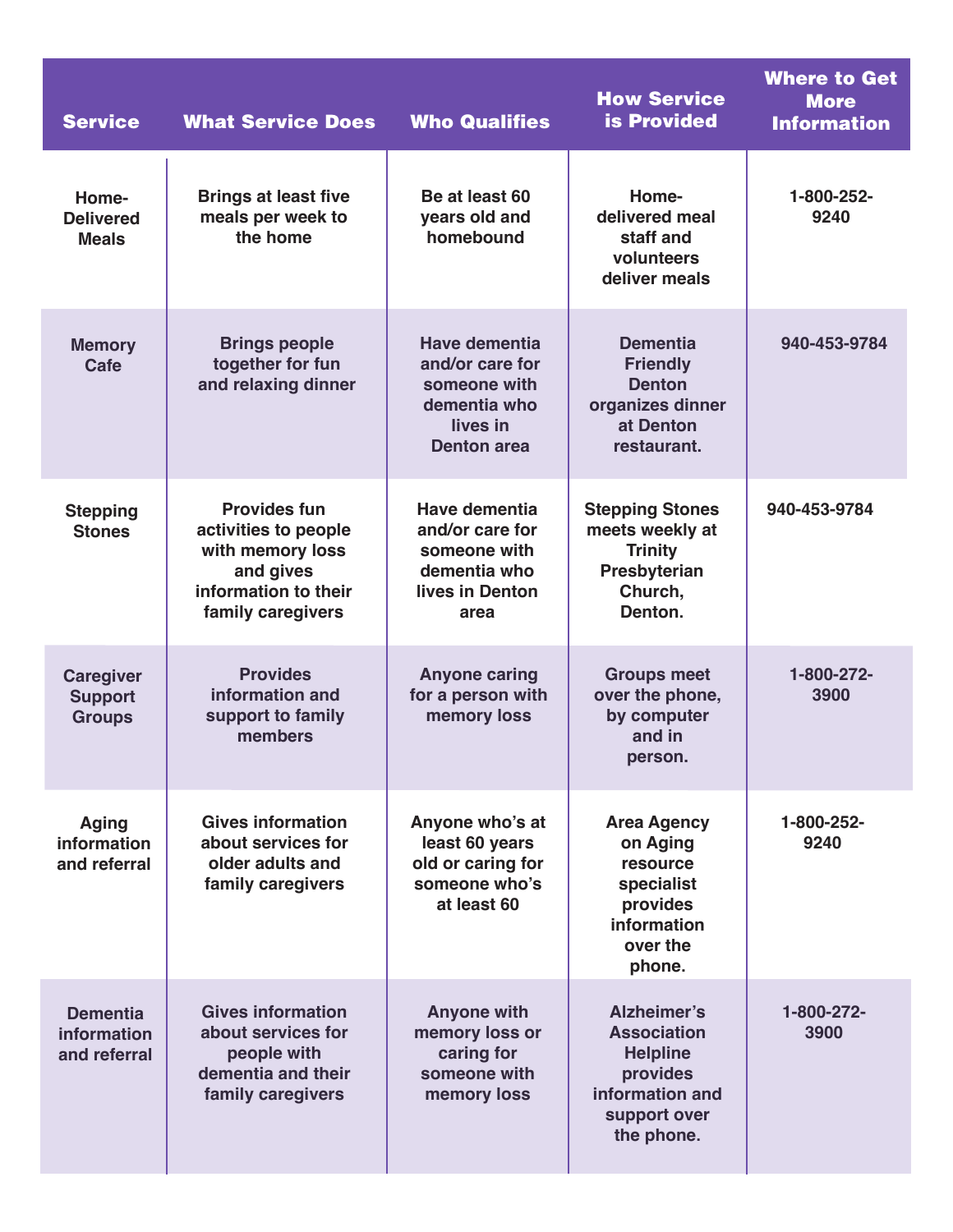| <b>Service</b>                                      | <b>What Service Does</b>                                                                                                  | <b>Who Qualifies</b>                                                                                      | <b>How Service</b><br><b>is Provided</b>                                                                          | <b>Where to Get</b><br><b>More</b><br><b>Information</b> |
|-----------------------------------------------------|---------------------------------------------------------------------------------------------------------------------------|-----------------------------------------------------------------------------------------------------------|-------------------------------------------------------------------------------------------------------------------|----------------------------------------------------------|
| Home-<br><b>Delivered</b><br><b>Meals</b>           | <b>Brings at least five</b><br>meals per week to<br>the home                                                              | Be at least 60<br>years old and<br>homebound                                                              | Home-<br>delivered meal<br>staff and<br>volunteers<br>deliver meals                                               | 1-800-252-<br>9240                                       |
| <b>Memory</b><br>Cafe                               | <b>Brings people</b><br>together for fun<br>and relaxing dinner                                                           | <b>Have dementia</b><br>and/or care for<br>someone with<br>dementia who<br>lives in<br><b>Denton area</b> | <b>Dementia</b><br><b>Friendly</b><br><b>Denton</b><br>organizes dinner<br>at Denton<br>restaurant.               | 940-453-9784                                             |
| <b>Stepping</b><br><b>Stones</b>                    | <b>Provides fun</b><br>activities to people<br>with memory loss<br>and gives<br>information to their<br>family caregivers | <b>Have dementia</b><br>and/or care for<br>someone with<br>dementia who<br>lives in Denton<br>area        | <b>Stepping Stones</b><br>meets weekly at<br><b>Trinity</b><br>Presbyterian<br>Church,<br>Denton.                 | 940-453-9784                                             |
| <b>Caregiver</b><br><b>Support</b><br><b>Groups</b> | <b>Provides</b><br>information and<br>support to family<br>members                                                        | <b>Anyone caring</b><br>for a person with<br>memory loss                                                  | <b>Groups meet</b><br>over the phone,<br>by computer<br>and in<br>person.                                         | 1-800-272-<br>3900                                       |
| <b>Aging</b><br>information<br>and referral         | <b>Gives information</b><br>about services for<br>older adults and<br>family caregivers                                   | Anyone who's at<br>least 60 years<br>old or caring for<br>someone who's<br>at least 60                    | <b>Area Agency</b><br>on Aging<br>resource<br>specialist<br>provides<br>information<br>over the<br>phone.         | 1-800-252-<br>9240                                       |
| <b>Dementia</b><br>information<br>and referral      | <b>Gives information</b><br>about services for<br>people with<br>dementia and their<br>family caregivers                  | <b>Anyone with</b><br>memory loss or<br>caring for<br>someone with<br>memory loss                         | Alzheimer's<br><b>Association</b><br><b>Helpline</b><br>provides<br>information and<br>support over<br>the phone. | 1-800-272-<br>3900                                       |